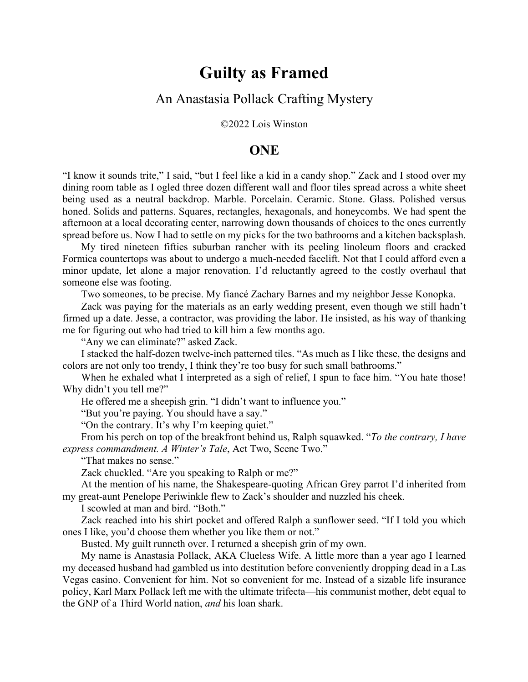## **Guilty as Framed**

## An Anastasia Pollack Crafting Mystery

©2022 Lois Winston

## **ONE**

"I know it sounds trite," I said, "but I feel like a kid in a candy shop." Zack and I stood over my dining room table as I ogled three dozen different wall and floor tiles spread across a white sheet being used as a neutral backdrop. Marble. Porcelain. Ceramic. Stone. Glass. Polished versus honed. Solids and patterns. Squares, rectangles, hexagonals, and honeycombs. We had spent the afternoon at a local decorating center, narrowing down thousands of choices to the ones currently spread before us. Now I had to settle on my picks for the two bathrooms and a kitchen backsplash.

My tired nineteen fifties suburban rancher with its peeling linoleum floors and cracked Formica countertops was about to undergo a much-needed facelift. Not that I could afford even a minor update, let alone a major renovation. I'd reluctantly agreed to the costly overhaul that someone else was footing.

Two someones, to be precise. My fiancé Zachary Barnes and my neighbor Jesse Konopka.

Zack was paying for the materials as an early wedding present, even though we still hadn't firmed up a date. Jesse, a contractor, was providing the labor. He insisted, as his way of thanking me for figuring out who had tried to kill him a few months ago.

"Any we can eliminate?" asked Zack.

I stacked the half-dozen twelve-inch patterned tiles. "As much as I like these, the designs and colors are not only too trendy, I think they're too busy for such small bathrooms."

When he exhaled what I interpreted as a sigh of relief, I spun to face him. "You hate those! Why didn't you tell me?"

He offered me a sheepish grin. "I didn't want to influence you."

"But you're paying. You should have a say."

"On the contrary. It's why I'm keeping quiet."

From his perch on top of the breakfront behind us, Ralph squawked. "*To the contrary, I have express commandment. A Winter's Tale*, Act Two, Scene Two."

"That makes no sense."

Zack chuckled. "Are you speaking to Ralph or me?"

At the mention of his name, the Shakespeare-quoting African Grey parrot I'd inherited from my great-aunt Penelope Periwinkle flew to Zack's shoulder and nuzzled his cheek.

I scowled at man and bird. "Both."

Zack reached into his shirt pocket and offered Ralph a sunflower seed. "If I told you which ones I like, you'd choose them whether you like them or not."

Busted. My guilt runneth over. I returned a sheepish grin of my own.

My name is Anastasia Pollack, AKA Clueless Wife. A little more than a year ago I learned my deceased husband had gambled us into destitution before conveniently dropping dead in a Las Vegas casino. Convenient for him. Not so convenient for me. Instead of a sizable life insurance policy, Karl Marx Pollack left me with the ultimate trifecta—his communist mother, debt equal to the GNP of a Third World nation, *and* his loan shark.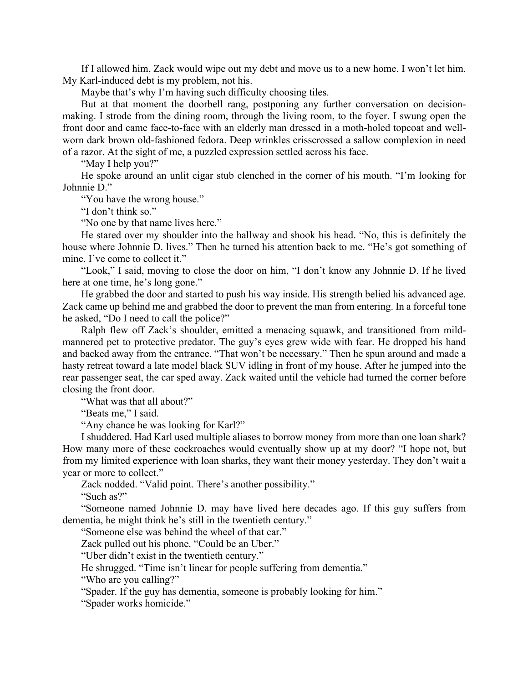If I allowed him, Zack would wipe out my debt and move us to a new home. I won't let him. My Karl-induced debt is my problem, not his.

Maybe that's why I'm having such difficulty choosing tiles.

But at that moment the doorbell rang, postponing any further conversation on decisionmaking. I strode from the dining room, through the living room, to the foyer. I swung open the front door and came face-to-face with an elderly man dressed in a moth-holed topcoat and wellworn dark brown old-fashioned fedora. Deep wrinkles crisscrossed a sallow complexion in need of a razor. At the sight of me, a puzzled expression settled across his face.

"May I help you?"

He spoke around an unlit cigar stub clenched in the corner of his mouth. "I'm looking for Johnnie D."

"You have the wrong house."

"I don't think so."

"No one by that name lives here."

He stared over my shoulder into the hallway and shook his head. "No, this is definitely the house where Johnnie D. lives." Then he turned his attention back to me. "He's got something of mine. I've come to collect it."

"Look," I said, moving to close the door on him, "I don't know any Johnnie D. If he lived here at one time, he's long gone."

He grabbed the door and started to push his way inside. His strength belied his advanced age. Zack came up behind me and grabbed the door to prevent the man from entering. In a forceful tone he asked, "Do I need to call the police?"

Ralph flew off Zack's shoulder, emitted a menacing squawk, and transitioned from mildmannered pet to protective predator. The guy's eyes grew wide with fear. He dropped his hand and backed away from the entrance. "That won't be necessary." Then he spun around and made a hasty retreat toward a late model black SUV idling in front of my house. After he jumped into the rear passenger seat, the car sped away. Zack waited until the vehicle had turned the corner before closing the front door.

"What was that all about?"

"Beats me," I said.

"Any chance he was looking for Karl?"

I shuddered. Had Karl used multiple aliases to borrow money from more than one loan shark? How many more of these cockroaches would eventually show up at my door? "I hope not, but from my limited experience with loan sharks, they want their money yesterday. They don't wait a year or more to collect."

Zack nodded. "Valid point. There's another possibility."

"Such as?"

"Someone named Johnnie D. may have lived here decades ago. If this guy suffers from dementia, he might think he's still in the twentieth century."

"Someone else was behind the wheel of that car."

Zack pulled out his phone. "Could be an Uber."

"Uber didn't exist in the twentieth century."

He shrugged. "Time isn't linear for people suffering from dementia."

"Who are you calling?"

"Spader. If the guy has dementia, someone is probably looking for him."

"Spader works homicide."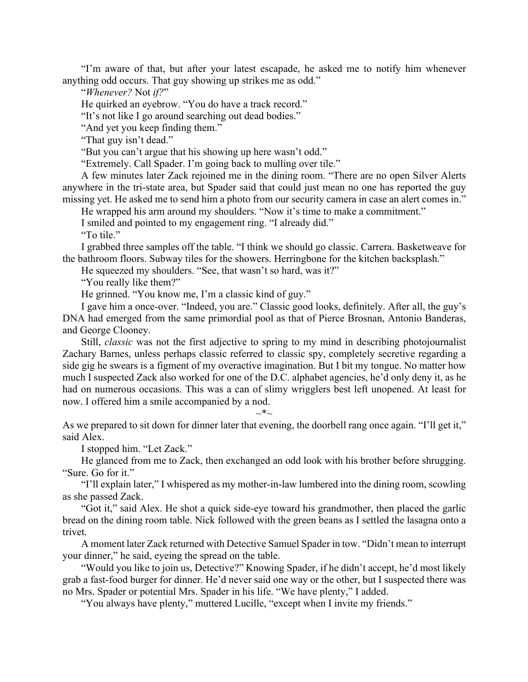"I'm aware of that, but after your latest escapade, he asked me to notify him whenever anything odd occurs. That guy showing up strikes me as odd."

"*Whenever?* Not *if?*"

He quirked an eyebrow. "You do have a track record."

"It's not like I go around searching out dead bodies."

"And yet you keep finding them."

"That guy isn't dead."

"But you can't argue that his showing up here wasn't odd."

"Extremely. Call Spader. I'm going back to mulling over tile."

A few minutes later Zack rejoined me in the dining room. "There are no open Silver Alerts anywhere in the tri-state area, but Spader said that could just mean no one has reported the guy missing yet. He asked me to send him a photo from our security camera in case an alert comes in."

He wrapped his arm around my shoulders. "Now it's time to make a commitment."

I smiled and pointed to my engagement ring. "I already did."

"To tile."

I grabbed three samples off the table. "I think we should go classic. Carrera. Basketweave for the bathroom floors. Subway tiles for the showers. Herringbone for the kitchen backsplash."

He squeezed my shoulders. "See, that wasn't so hard, was it?"

"You really like them?"

He grinned. "You know me, I'm a classic kind of guy."

I gave him a once-over. "Indeed, you are." Classic good looks, definitely. After all, the guy's DNA had emerged from the same primordial pool as that of Pierce Brosnan, Antonio Banderas, and George Clooney.

Still, *classic* was not the first adjective to spring to my mind in describing photojournalist Zachary Barnes, unless perhaps classic referred to classic spy, completely secretive regarding a side gig he swears is a figment of my overactive imagination. But I bit my tongue. No matter how much I suspected Zack also worked for one of the D.C. alphabet agencies, he'd only deny it, as he had on numerous occasions. This was a can of slimy wrigglers best left unopened. At least for now. I offered him a smile accompanied by a nod.

As we prepared to sit down for dinner later that evening, the doorbell rang once again. "I'll get it," said Alex.

 $\sim^* \sim$ 

I stopped him. "Let Zack."

He glanced from me to Zack, then exchanged an odd look with his brother before shrugging. "Sure. Go for it."

"I'll explain later," I whispered as my mother-in-law lumbered into the dining room, scowling as she passed Zack.

"Got it," said Alex. He shot a quick side-eye toward his grandmother, then placed the garlic bread on the dining room table. Nick followed with the green beans as I settled the lasagna onto a trivet.

A moment later Zack returned with Detective Samuel Spader in tow. "Didn't mean to interrupt your dinner," he said, eyeing the spread on the table.

"Would you like to join us, Detective?" Knowing Spader, if he didn't accept, he'd most likely grab a fast-food burger for dinner. He'd never said one way or the other, but I suspected there was no Mrs. Spader or potential Mrs. Spader in his life. "We have plenty," I added.

"You always have plenty," muttered Lucille, "except when I invite my friends."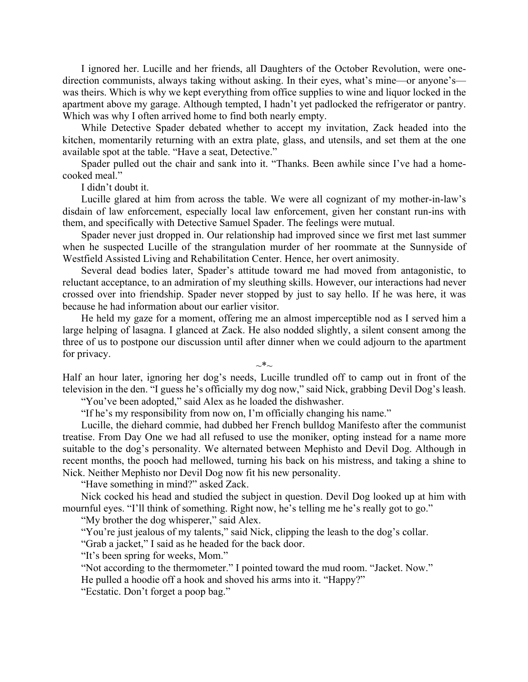I ignored her. Lucille and her friends, all Daughters of the October Revolution, were onedirection communists, always taking without asking. In their eyes, what's mine—or anyone's was theirs. Which is why we kept everything from office supplies to wine and liquor locked in the apartment above my garage. Although tempted, I hadn't yet padlocked the refrigerator or pantry. Which was why I often arrived home to find both nearly empty.

While Detective Spader debated whether to accept my invitation, Zack headed into the kitchen, momentarily returning with an extra plate, glass, and utensils, and set them at the one available spot at the table. "Have a seat, Detective."

Spader pulled out the chair and sank into it. "Thanks. Been awhile since I've had a homecooked meal."

I didn't doubt it.

Lucille glared at him from across the table. We were all cognizant of my mother-in-law's disdain of law enforcement, especially local law enforcement, given her constant run-ins with them, and specifically with Detective Samuel Spader. The feelings were mutual.

Spader never just dropped in. Our relationship had improved since we first met last summer when he suspected Lucille of the strangulation murder of her roommate at the Sunnyside of Westfield Assisted Living and Rehabilitation Center. Hence, her overt animosity.

Several dead bodies later, Spader's attitude toward me had moved from antagonistic, to reluctant acceptance, to an admiration of my sleuthing skills. However, our interactions had never crossed over into friendship. Spader never stopped by just to say hello. If he was here, it was because he had information about our earlier visitor.

He held my gaze for a moment, offering me an almost imperceptible nod as I served him a large helping of lasagna. I glanced at Zack. He also nodded slightly, a silent consent among the three of us to postpone our discussion until after dinner when we could adjourn to the apartment for privacy.

 $\sim^*$ ~

Half an hour later, ignoring her dog's needs, Lucille trundled off to camp out in front of the television in the den. "I guess he's officially my dog now," said Nick, grabbing Devil Dog's leash. "You've been adopted," said Alex as he loaded the dishwasher.

"If he's my responsibility from now on, I'm officially changing his name."

Lucille, the diehard commie, had dubbed her French bulldog Manifesto after the communist treatise. From Day One we had all refused to use the moniker, opting instead for a name more suitable to the dog's personality. We alternated between Mephisto and Devil Dog. Although in recent months, the pooch had mellowed, turning his back on his mistress, and taking a shine to Nick. Neither Mephisto nor Devil Dog now fit his new personality.

"Have something in mind?" asked Zack.

Nick cocked his head and studied the subject in question. Devil Dog looked up at him with mournful eyes. "I'll think of something. Right now, he's telling me he's really got to go."

"My brother the dog whisperer," said Alex.

"You're just jealous of my talents," said Nick, clipping the leash to the dog's collar.

"Grab a jacket," I said as he headed for the back door.

"It's been spring for weeks, Mom."

"Not according to the thermometer." I pointed toward the mud room. "Jacket. Now."

He pulled a hoodie off a hook and shoved his arms into it. "Happy?"

"Ecstatic. Don't forget a poop bag."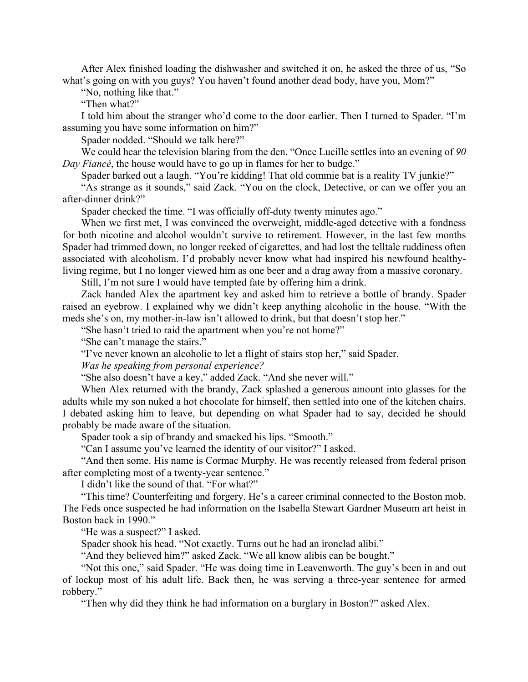After Alex finished loading the dishwasher and switched it on, he asked the three of us, "So what's going on with you guys? You haven't found another dead body, have you, Mom?"

"No, nothing like that."

"Then what?"

I told him about the stranger who'd come to the door earlier. Then I turned to Spader. "I'm assuming you have some information on him?"

Spader nodded. "Should we talk here?"

We could hear the television blaring from the den. "Once Lucille settles into an evening of *90 Day Fiancé*, the house would have to go up in flames for her to budge."

Spader barked out a laugh. "You're kidding! That old commie bat is a reality TV junkie?"

"As strange as it sounds," said Zack. "You on the clock, Detective, or can we offer you an after-dinner drink?"

Spader checked the time. "I was officially off-duty twenty minutes ago."

When we first met, I was convinced the overweight, middle-aged detective with a fondness for both nicotine and alcohol wouldn't survive to retirement. However, in the last few months Spader had trimmed down, no longer reeked of cigarettes, and had lost the telltale ruddiness often associated with alcoholism. I'd probably never know what had inspired his newfound healthyliving regime, but I no longer viewed him as one beer and a drag away from a massive coronary.

Still, I'm not sure I would have tempted fate by offering him a drink.

Zack handed Alex the apartment key and asked him to retrieve a bottle of brandy. Spader raised an eyebrow. I explained why we didn't keep anything alcoholic in the house. "With the meds she's on, my mother-in-law isn't allowed to drink, but that doesn't stop her."

"She hasn't tried to raid the apartment when you're not home?"

"She can't manage the stairs."

"I've never known an alcoholic to let a flight of stairs stop her," said Spader.

*Was he speaking from personal experience?*

"She also doesn't have a key," added Zack. "And she never will."

When Alex returned with the brandy, Zack splashed a generous amount into glasses for the adults while my son nuked a hot chocolate for himself, then settled into one of the kitchen chairs. I debated asking him to leave, but depending on what Spader had to say, decided he should probably be made aware of the situation.

Spader took a sip of brandy and smacked his lips. "Smooth."

"Can I assume you've learned the identity of our visitor?" I asked.

"And then some. His name is Cormac Murphy. He was recently released from federal prison after completing most of a twenty-year sentence."

I didn't like the sound of that. "For what?"

"This time? Counterfeiting and forgery. He's a career criminal connected to the Boston mob. The Feds once suspected he had information on the Isabella Stewart Gardner Museum art heist in Boston back in 1990."

"He was a suspect?" I asked.

Spader shook his head. "Not exactly. Turns out he had an ironclad alibi."

"And they believed him?" asked Zack. "We all know alibis can be bought."

"Not this one," said Spader. "He was doing time in Leavenworth. The guy's been in and out of lockup most of his adult life. Back then, he was serving a three-year sentence for armed robbery."

"Then why did they think he had information on a burglary in Boston?" asked Alex.